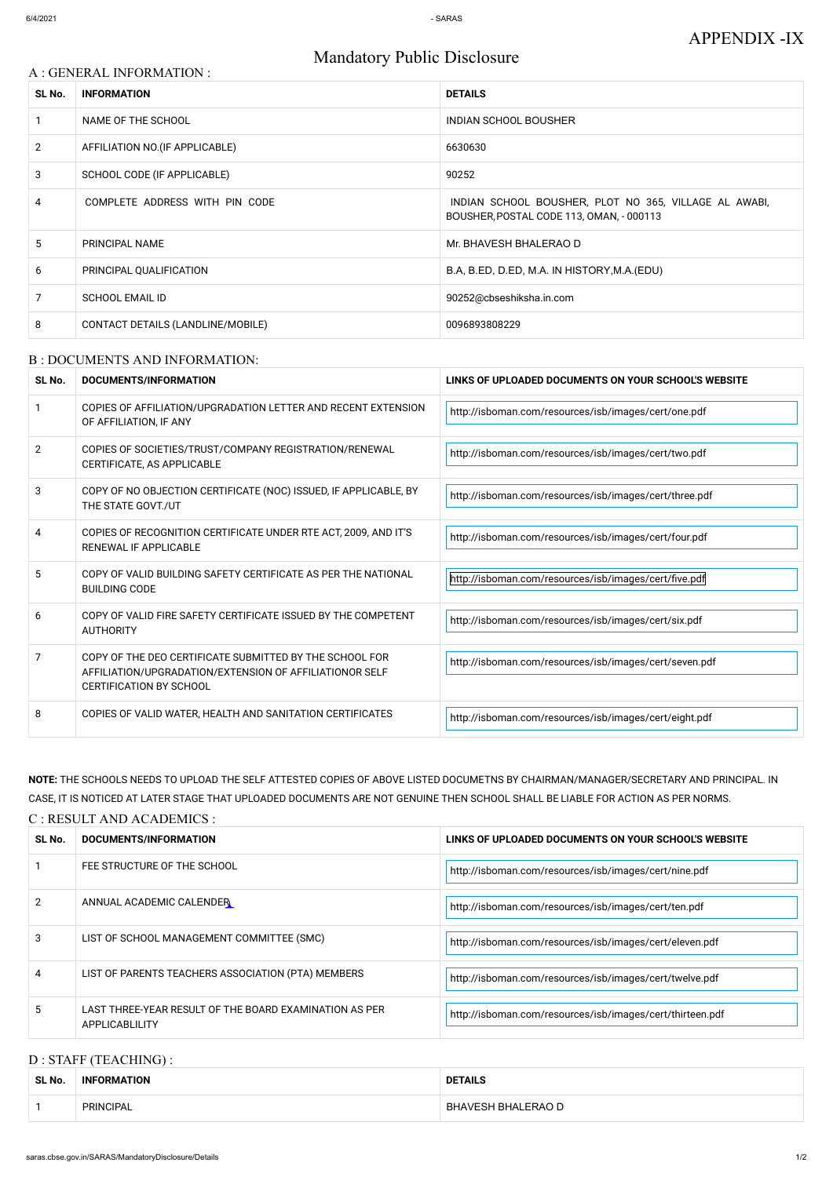## Mandatory Public Disclosure

#### B : DOCUMENTS AND INFORMATION:

# A : GENERAL INFORMATION : **SL No. INFORMATION DETAILS** 2 AFFILIATION NO. (IF APPLICABLE) 6630630 3 SCHOOL CODE (IF APPLICABLE) 90252 8 CONTACT DETAILS (LANDLINE/MOBILE) 20096893808229 1 NAME OF THE SCHOOL **INDIAN SCHOOL BOUSHER** 5 PRINCIPAL NAME RELATIONSHIPS AND RELATIONSHIPS AND MILLION CONTRACT OF MILLION CONTRACT OF MILLION CONTRACT OF MILLION CONTRACT OF MILLION CONTRACT OF MILLION CONTRACT OF MILLION CONTRACT OF MILLION CONTRACT OF MILLION C 6 PRINCIPAL QUALIFICATION B.A, B.ED, D.ED, M.A. IN HISTORY, M.A. (EDU) 7 SCHOOL EMAIL ID 90252@cbseshiksha.in.com 4 COMPLETE ADDRESS WITH PIN CODE **INDIAN SCHOOL BOUSHER, PLOT NO 365, VILLAGE AL AWABI**, BOUSHER,POSTAL CODE 113, OMAN, - 000113

| SL No. | <b>DOCUMENTS/INFORMATION</b>                                                                                                                         | LINKS OF UPLOADED DOCUMENTS ON YOUR SCHOOL'S WEBSITE   |  |
|--------|------------------------------------------------------------------------------------------------------------------------------------------------------|--------------------------------------------------------|--|
|        | COPIES OF AFFILIATION/UPGRADATION LETTER AND RECENT EXTENSION<br>OF AFFILIATION, IF ANY                                                              | http://isboman.com/resources/isb/images/cert/one.pdf   |  |
| 2      | COPIES OF SOCIETIES/TRUST/COMPANY REGISTRATION/RENEWAL<br>CERTIFICATE, AS APPLICABLE                                                                 | http://isboman.com/resources/isb/images/cert/two.pdf   |  |
| 3      | COPY OF NO OBJECTION CERTIFICATE (NOC) ISSUED, IF APPLICABLE, BY<br>THE STATE GOVT./UT                                                               | http://isboman.com/resources/isb/images/cert/three.pdf |  |
| 4      | COPIES OF RECOGNITION CERTIFICATE UNDER RTE ACT, 2009, AND IT'S<br><b>RENEWAL IF APPLICABLE</b>                                                      | http://isboman.com/resources/isb/images/cert/four.pdf  |  |
| 5      | COPY OF VALID BUILDING SAFETY CERTIFICATE AS PER THE NATIONAL<br><b>BUILDING CODE</b>                                                                | http://isboman.com/resources/isb/images/cert/five.pdf  |  |
| 6      | COPY OF VALID FIRE SAFETY CERTIFICATE ISSUED BY THE COMPETENT<br><b>AUTHORITY</b>                                                                    | http://isboman.com/resources/isb/images/cert/six.pdf   |  |
| 7      | COPY OF THE DEO CERTIFICATE SUBMITTED BY THE SCHOOL FOR<br>AFFILIATION/UPGRADATION/EXTENSION OF AFFILIATIONOR SELF<br><b>CERTIFICATION BY SCHOOL</b> | http://isboman.com/resources/isb/images/cert/seven.pdf |  |
| 8      | COPIES OF VALID WATER, HEALTH AND SANITATION CERTIFICATES                                                                                            | http://isboman.com/resources/isb/images/cert/eight.pdf |  |

**NOTE:** THE SCHOOLS NEEDS TO UPLOAD THE SELF ATTESTED COPIES OF ABOVE LISTED DOCUMETNS BY CHAIRMAN/MANAGER/SECRETARY AND PRINCIPAL. IN CASE, IT IS NOTICED AT LATER STAGE THAT UPLOADED DOCUMENTS ARE NOT GENUINE THEN SCHOOL SHALL BE LIABLE FOR ACTION AS PER NORMS.

#### C : RESULT AND ACADEMICS :

| SL No. | DOCUMENTS/INFORMATION       | LINKS OF UPLOADED DOCUMENTS ON YOUR SCHOOL'S WEBSITE  |  |
|--------|-----------------------------|-------------------------------------------------------|--|
|        | FEE STRUCTURE OF THE SCHOOL | http://isboman.com/resources/isb/images/cert/nine.pdf |  |

| 2 | ANNUAL ACADEMIC CALENDER                                                 | http://isboman.com/resources/isb/images/cert/ten.pdf      |
|---|--------------------------------------------------------------------------|-----------------------------------------------------------|
|   | LIST OF SCHOOL MANAGEMENT COMMITTEE (SMC)                                | http://isboman.com/resources/isb/images/cert/eleven.pdf   |
|   | LIST OF PARENTS TEACHERS ASSOCIATION (PTA) MEMBERS                       | http://isboman.com/resources/isb/images/cert/twelve.pdf   |
|   | LAST THREE-YEAR RESULT OF THE BOARD EXAMINATION AS PER<br>APPLICABLILITY | http://isboman.com/resources/isb/images/cert/thirteen.pdf |

#### D : STAFF (TEACHING) :

| SL No. | <b>INFORMATION</b> | <b>DETAILS</b>            |
|--------|--------------------|---------------------------|
|        | PRINCIPAL          | <b>BHAVESH BHALERAO D</b> |